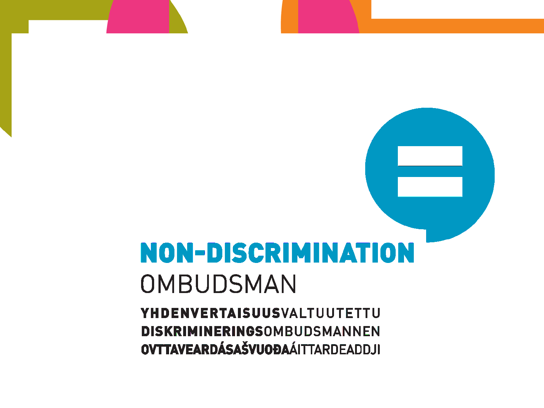## **NON-DISCRIMINATION** OMBUDSMAN

**YHDENVERTAISUUSVALTUUTETTU** DISKRIMINERINGSOMBUDSMANNEN OVTTAVEARDÁSAŠVUOĐAÁITTARDEADDJI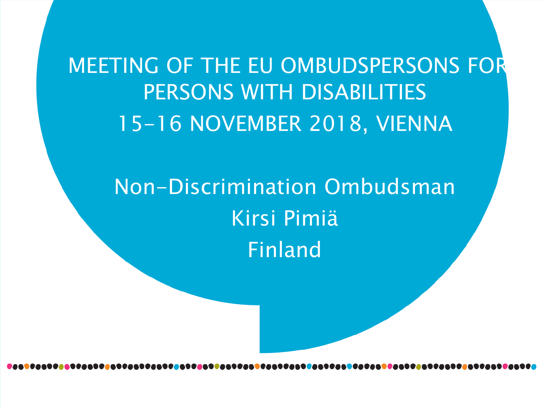MEETING OF THE EU OMBUDSPERSONS FOR PERSONS WITH DISABILITIES 15-16 NOVEMBER 2018, VIENNA

> Non-Discrimination Ombudsman Kirsi Pimiä Finland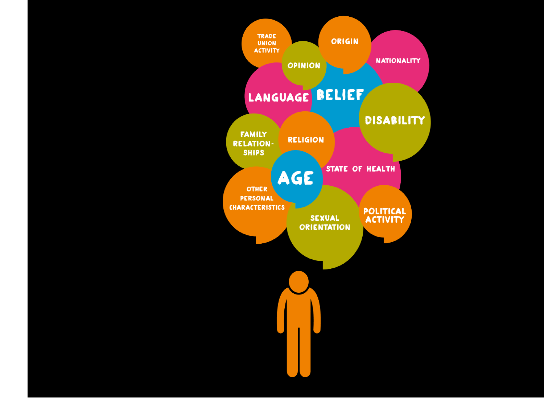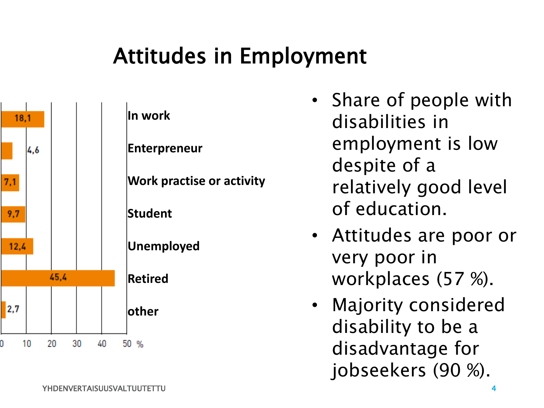## Attitudes in Employment



- Share of people with disabilities in employment is low despite of a relatively good level of education.
- Attitudes are poor or very poor in workplaces (57 %).
- Majority considered disability to be a disadvantage for jobseekers (90 %).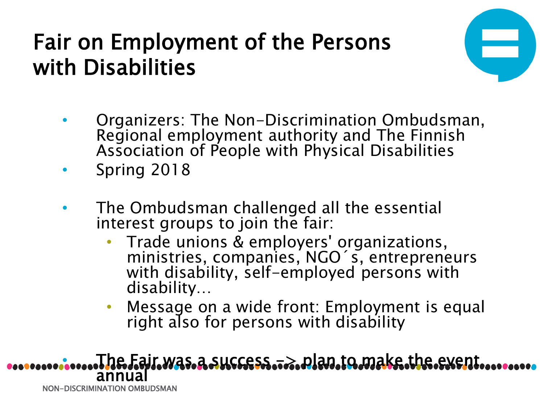## Fair on Employment of the Persons with Disabilities



- Organizers: The Non-Discrimination Ombudsman, Regional employment authority and The Finnish Association of People with Physical Disabilities
- Spring 2018
- The Ombudsman challenged all the essential interest groups to join the fair:
	- Trade unions & employers' organizations, ministries, companies, NGO´s, entrepreneurs with disability, self-employed persons with disability…
	- Message on a wide front: Employment is equal right also for persons with disability

NON-DISCRIMINATION OMBUDSMAN • The Fair was a success -> plan to make the event annual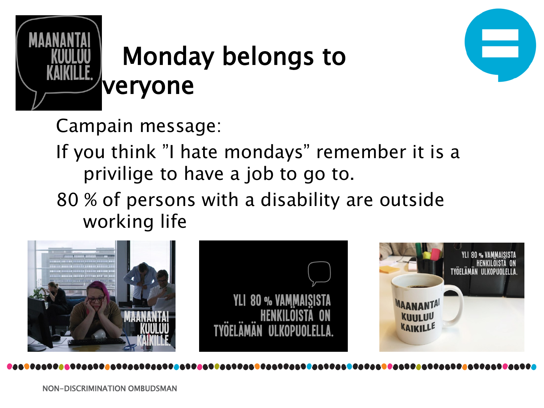

# Monday belongs to



Campain message:

If you think "I hate mondays" remember it is a privilige to have a job to go to.

80 % of persons with a disability are outside working life